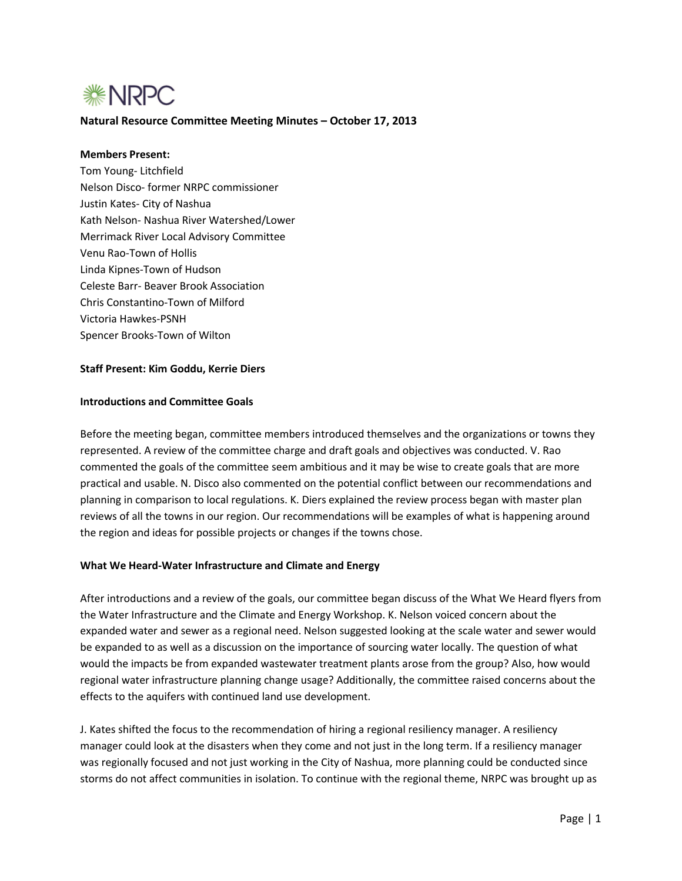

### **Natural Resource Committee Meeting Minutes – October 17, 2013**

## **Members Present:**

Tom Young- Litchfield Nelson Disco- former NRPC commissioner Justin Kates- City of Nashua Kath Nelson- Nashua River Watershed/Lower Merrimack River Local Advisory Committee Venu Rao-Town of Hollis Linda Kipnes-Town of Hudson Celeste Barr- Beaver Brook Association Chris Constantino-Town of Milford Victoria Hawkes-PSNH Spencer Brooks-Town of Wilton

#### **Staff Present: Kim Goddu, Kerrie Diers**

#### **Introductions and Committee Goals**

Before the meeting began, committee members introduced themselves and the organizations or towns they represented. A review of the committee charge and draft goals and objectives was conducted. V. Rao commented the goals of the committee seem ambitious and it may be wise to create goals that are more practical and usable. N. Disco also commented on the potential conflict between our recommendations and planning in comparison to local regulations. K. Diers explained the review process began with master plan reviews of all the towns in our region. Our recommendations will be examples of what is happening around the region and ideas for possible projects or changes if the towns chose.

### **What We Heard-Water Infrastructure and Climate and Energy**

After introductions and a review of the goals, our committee began discuss of the What We Heard flyers from the Water Infrastructure and the Climate and Energy Workshop. K. Nelson voiced concern about the expanded water and sewer as a regional need. Nelson suggested looking at the scale water and sewer would be expanded to as well as a discussion on the importance of sourcing water locally. The question of what would the impacts be from expanded wastewater treatment plants arose from the group? Also, how would regional water infrastructure planning change usage? Additionally, the committee raised concerns about the effects to the aquifers with continued land use development.

J. Kates shifted the focus to the recommendation of hiring a regional resiliency manager. A resiliency manager could look at the disasters when they come and not just in the long term. If a resiliency manager was regionally focused and not just working in the City of Nashua, more planning could be conducted since storms do not affect communities in isolation. To continue with the regional theme, NRPC was brought up as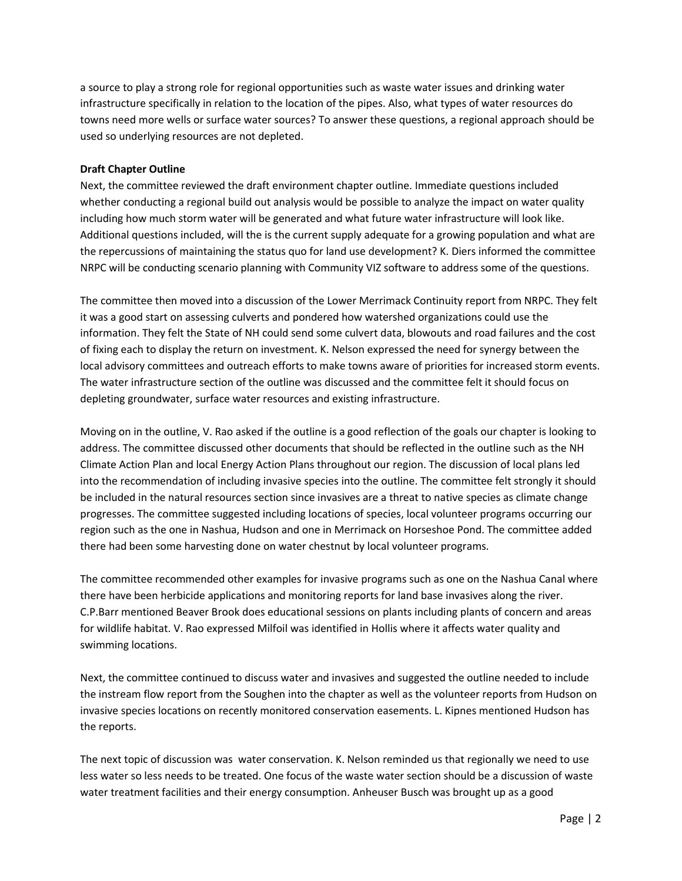a source to play a strong role for regional opportunities such as waste water issues and drinking water infrastructure specifically in relation to the location of the pipes. Also, what types of water resources do towns need more wells or surface water sources? To answer these questions, a regional approach should be used so underlying resources are not depleted.

### **Draft Chapter Outline**

Next, the committee reviewed the draft environment chapter outline. Immediate questions included whether conducting a regional build out analysis would be possible to analyze the impact on water quality including how much storm water will be generated and what future water infrastructure will look like. Additional questions included, will the is the current supply adequate for a growing population and what are the repercussions of maintaining the status quo for land use development? K. Diers informed the committee NRPC will be conducting scenario planning with Community VIZ software to address some of the questions.

The committee then moved into a discussion of the Lower Merrimack Continuity report from NRPC. They felt it was a good start on assessing culverts and pondered how watershed organizations could use the information. They felt the State of NH could send some culvert data, blowouts and road failures and the cost of fixing each to display the return on investment. K. Nelson expressed the need for synergy between the local advisory committees and outreach efforts to make towns aware of priorities for increased storm events. The water infrastructure section of the outline was discussed and the committee felt it should focus on depleting groundwater, surface water resources and existing infrastructure.

Moving on in the outline, V. Rao asked if the outline is a good reflection of the goals our chapter is looking to address. The committee discussed other documents that should be reflected in the outline such as the NH Climate Action Plan and local Energy Action Plans throughout our region. The discussion of local plans led into the recommendation of including invasive species into the outline. The committee felt strongly it should be included in the natural resources section since invasives are a threat to native species as climate change progresses. The committee suggested including locations of species, local volunteer programs occurring our region such as the one in Nashua, Hudson and one in Merrimack on Horseshoe Pond. The committee added there had been some harvesting done on water chestnut by local volunteer programs.

The committee recommended other examples for invasive programs such as one on the Nashua Canal where there have been herbicide applications and monitoring reports for land base invasives along the river. C.P.Barr mentioned Beaver Brook does educational sessions on plants including plants of concern and areas for wildlife habitat. V. Rao expressed Milfoil was identified in Hollis where it affects water quality and swimming locations.

Next, the committee continued to discuss water and invasives and suggested the outline needed to include the instream flow report from the Soughen into the chapter as well as the volunteer reports from Hudson on invasive species locations on recently monitored conservation easements. L. Kipnes mentioned Hudson has the reports.

The next topic of discussion was water conservation. K. Nelson reminded us that regionally we need to use less water so less needs to be treated. One focus of the waste water section should be a discussion of waste water treatment facilities and their energy consumption. Anheuser Busch was brought up as a good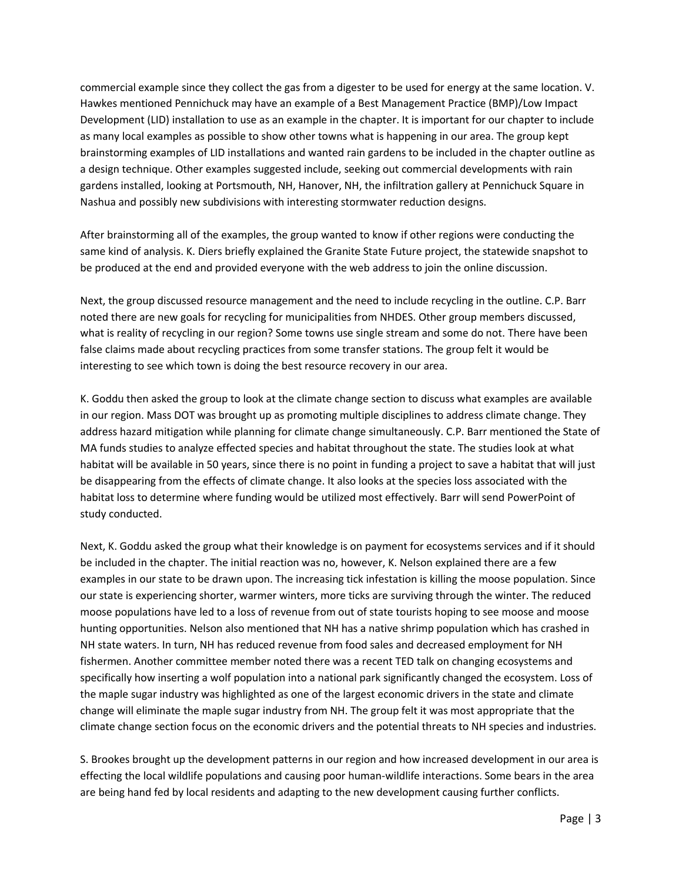commercial example since they collect the gas from a digester to be used for energy at the same location. V. Hawkes mentioned Pennichuck may have an example of a Best Management Practice (BMP)/Low Impact Development (LID) installation to use as an example in the chapter. It is important for our chapter to include as many local examples as possible to show other towns what is happening in our area. The group kept brainstorming examples of LID installations and wanted rain gardens to be included in the chapter outline as a design technique. Other examples suggested include, seeking out commercial developments with rain gardens installed, looking at Portsmouth, NH, Hanover, NH, the infiltration gallery at Pennichuck Square in Nashua and possibly new subdivisions with interesting stormwater reduction designs.

After brainstorming all of the examples, the group wanted to know if other regions were conducting the same kind of analysis. K. Diers briefly explained the Granite State Future project, the statewide snapshot to be produced at the end and provided everyone with the web address to join the online discussion.

Next, the group discussed resource management and the need to include recycling in the outline. C.P. Barr noted there are new goals for recycling for municipalities from NHDES. Other group members discussed, what is reality of recycling in our region? Some towns use single stream and some do not. There have been false claims made about recycling practices from some transfer stations. The group felt it would be interesting to see which town is doing the best resource recovery in our area.

K. Goddu then asked the group to look at the climate change section to discuss what examples are available in our region. Mass DOT was brought up as promoting multiple disciplines to address climate change. They address hazard mitigation while planning for climate change simultaneously. C.P. Barr mentioned the State of MA funds studies to analyze effected species and habitat throughout the state. The studies look at what habitat will be available in 50 years, since there is no point in funding a project to save a habitat that will just be disappearing from the effects of climate change. It also looks at the species loss associated with the habitat loss to determine where funding would be utilized most effectively. Barr will send PowerPoint of study conducted.

Next, K. Goddu asked the group what their knowledge is on payment for ecosystems services and if it should be included in the chapter. The initial reaction was no, however, K. Nelson explained there are a few examples in our state to be drawn upon. The increasing tick infestation is killing the moose population. Since our state is experiencing shorter, warmer winters, more ticks are surviving through the winter. The reduced moose populations have led to a loss of revenue from out of state tourists hoping to see moose and moose hunting opportunities. Nelson also mentioned that NH has a native shrimp population which has crashed in NH state waters. In turn, NH has reduced revenue from food sales and decreased employment for NH fishermen. Another committee member noted there was a recent TED talk on changing ecosystems and specifically how inserting a wolf population into a national park significantly changed the ecosystem. Loss of the maple sugar industry was highlighted as one of the largest economic drivers in the state and climate change will eliminate the maple sugar industry from NH. The group felt it was most appropriate that the climate change section focus on the economic drivers and the potential threats to NH species and industries.

S. Brookes brought up the development patterns in our region and how increased development in our area is effecting the local wildlife populations and causing poor human-wildlife interactions. Some bears in the area are being hand fed by local residents and adapting to the new development causing further conflicts.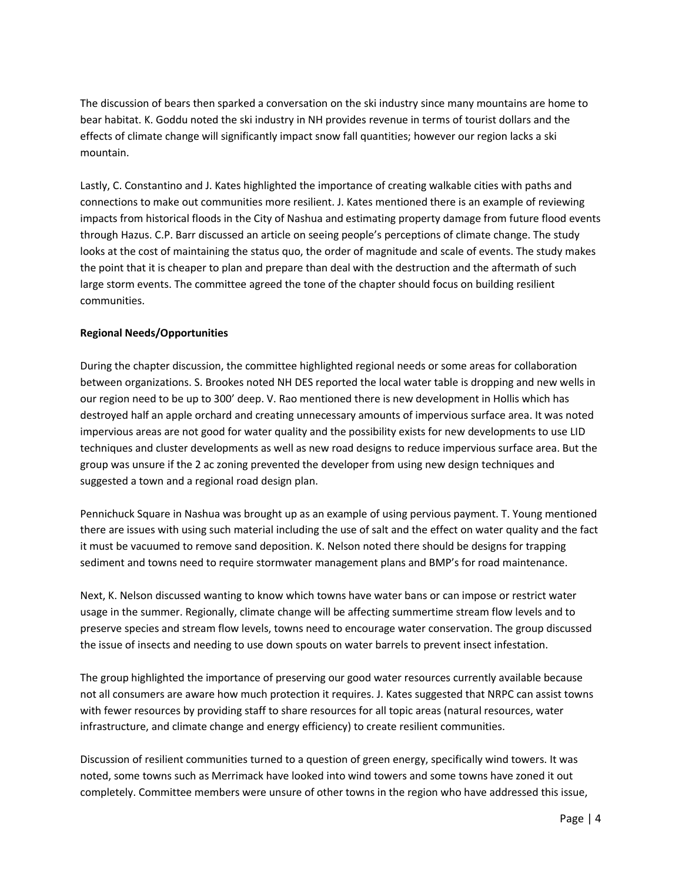The discussion of bears then sparked a conversation on the ski industry since many mountains are home to bear habitat. K. Goddu noted the ski industry in NH provides revenue in terms of tourist dollars and the effects of climate change will significantly impact snow fall quantities; however our region lacks a ski mountain.

Lastly, C. Constantino and J. Kates highlighted the importance of creating walkable cities with paths and connections to make out communities more resilient. J. Kates mentioned there is an example of reviewing impacts from historical floods in the City of Nashua and estimating property damage from future flood events through Hazus. C.P. Barr discussed an article on seeing people's perceptions of climate change. The study looks at the cost of maintaining the status quo, the order of magnitude and scale of events. The study makes the point that it is cheaper to plan and prepare than deal with the destruction and the aftermath of such large storm events. The committee agreed the tone of the chapter should focus on building resilient communities.

## **Regional Needs/Opportunities**

During the chapter discussion, the committee highlighted regional needs or some areas for collaboration between organizations. S. Brookes noted NH DES reported the local water table is dropping and new wells in our region need to be up to 300' deep. V. Rao mentioned there is new development in Hollis which has destroyed half an apple orchard and creating unnecessary amounts of impervious surface area. It was noted impervious areas are not good for water quality and the possibility exists for new developments to use LID techniques and cluster developments as well as new road designs to reduce impervious surface area. But the group was unsure if the 2 ac zoning prevented the developer from using new design techniques and suggested a town and a regional road design plan.

Pennichuck Square in Nashua was brought up as an example of using pervious payment. T. Young mentioned there are issues with using such material including the use of salt and the effect on water quality and the fact it must be vacuumed to remove sand deposition. K. Nelson noted there should be designs for trapping sediment and towns need to require stormwater management plans and BMP's for road maintenance.

Next, K. Nelson discussed wanting to know which towns have water bans or can impose or restrict water usage in the summer. Regionally, climate change will be affecting summertime stream flow levels and to preserve species and stream flow levels, towns need to encourage water conservation. The group discussed the issue of insects and needing to use down spouts on water barrels to prevent insect infestation.

The group highlighted the importance of preserving our good water resources currently available because not all consumers are aware how much protection it requires. J. Kates suggested that NRPC can assist towns with fewer resources by providing staff to share resources for all topic areas (natural resources, water infrastructure, and climate change and energy efficiency) to create resilient communities.

Discussion of resilient communities turned to a question of green energy, specifically wind towers. It was noted, some towns such as Merrimack have looked into wind towers and some towns have zoned it out completely. Committee members were unsure of other towns in the region who have addressed this issue,